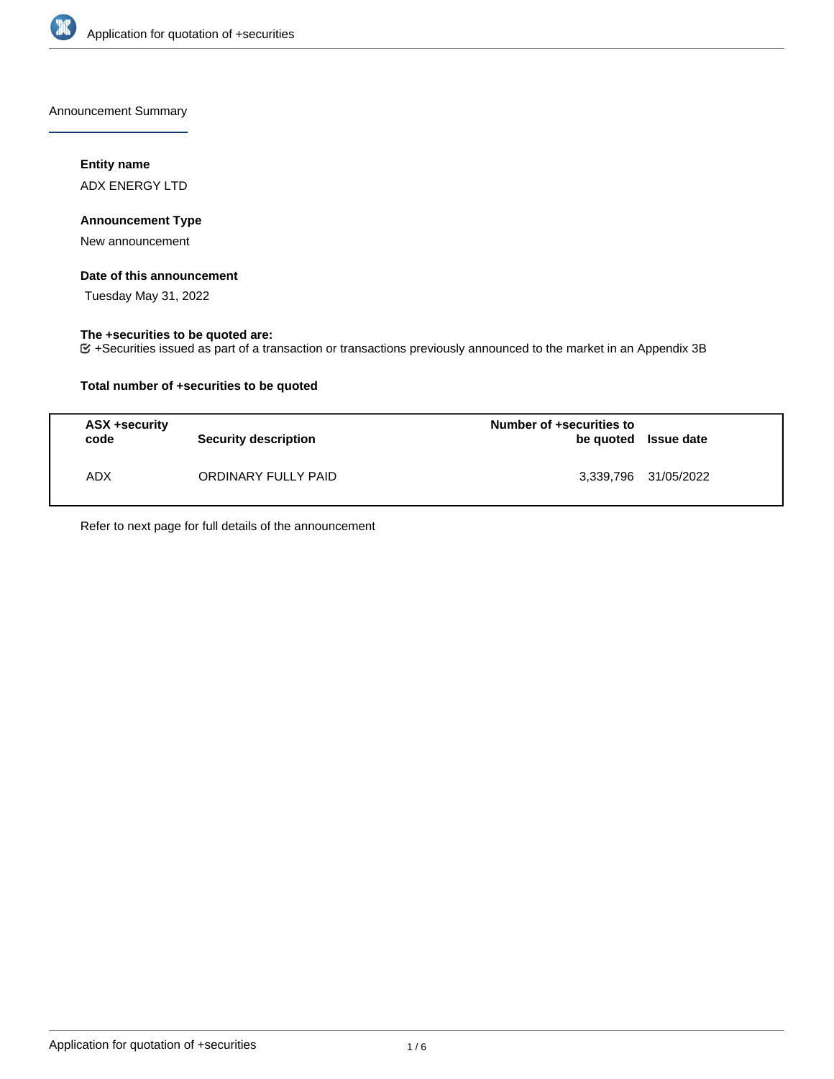

Announcement Summary

# **Entity name**

ADX ENERGY LTD

# **Announcement Type**

New announcement

# **Date of this announcement**

Tuesday May 31, 2022

# **The +securities to be quoted are:**

+Securities issued as part of a transaction or transactions previously announced to the market in an Appendix 3B

# **Total number of +securities to be quoted**

| ASX +security<br>code | <b>Security description</b> | Number of +securities to<br>be quoted Issue date |                      |
|-----------------------|-----------------------------|--------------------------------------------------|----------------------|
| ADX.                  | ORDINARY FULLY PAID         |                                                  | 3,339,796 31/05/2022 |

Refer to next page for full details of the announcement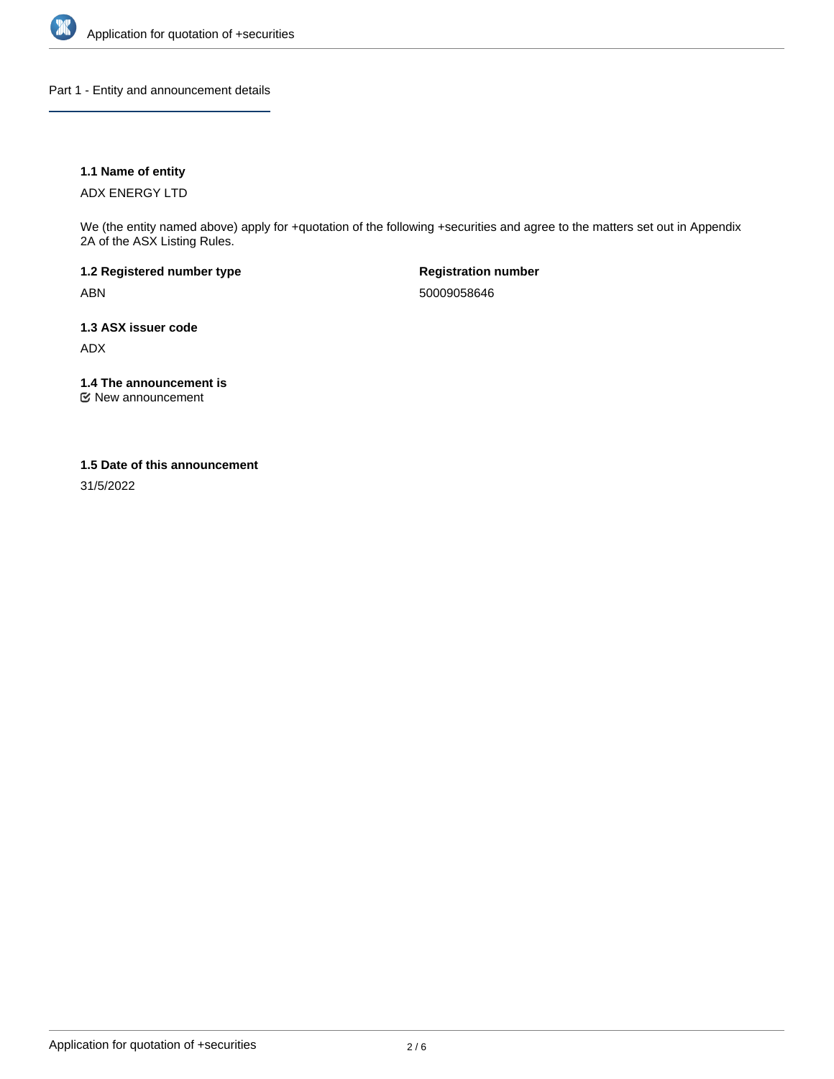

Part 1 - Entity and announcement details

# **1.1 Name of entity**

ADX ENERGY LTD

We (the entity named above) apply for +quotation of the following +securities and agree to the matters set out in Appendix 2A of the ASX Listing Rules.

**1.2 Registered number type** ABN

**Registration number** 50009058646

**1.3 ASX issuer code** ADX

**1.4 The announcement is**

New announcement

### **1.5 Date of this announcement**

31/5/2022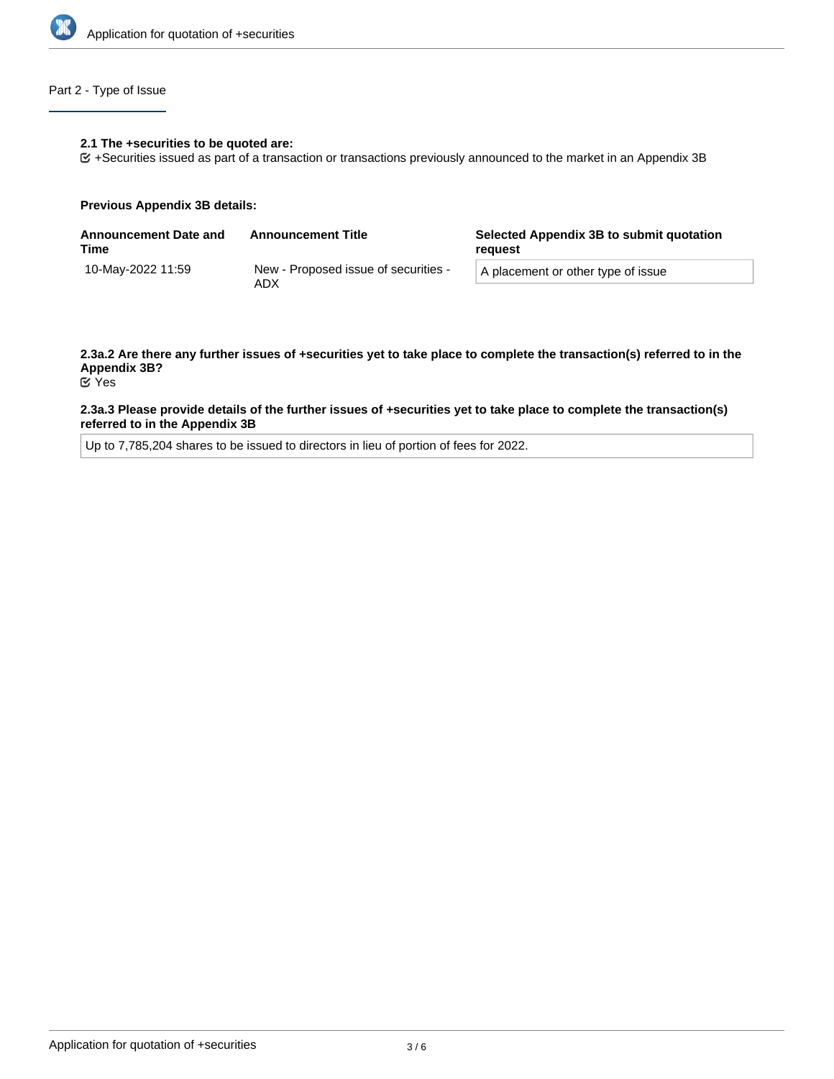

# Part 2 - Type of Issue

### **2.1 The +securities to be quoted are:**

+Securities issued as part of a transaction or transactions previously announced to the market in an Appendix 3B

#### **Previous Appendix 3B details:**

| <b>Announcement Date and</b><br>Time | <b>Announcement Title</b>                   | Selected Appendix 3B to submit quotation<br>reguest |  |
|--------------------------------------|---------------------------------------------|-----------------------------------------------------|--|
| 10-Mav-2022 11:59                    | New - Proposed issue of securities -<br>ADX | A placement or other type of issue                  |  |

# **2.3a.2 Are there any further issues of +securities yet to take place to complete the transaction(s) referred to in the Appendix 3B?**

# Yes

### **2.3a.3 Please provide details of the further issues of +securities yet to take place to complete the transaction(s) referred to in the Appendix 3B**

Up to 7,785,204 shares to be issued to directors in lieu of portion of fees for 2022.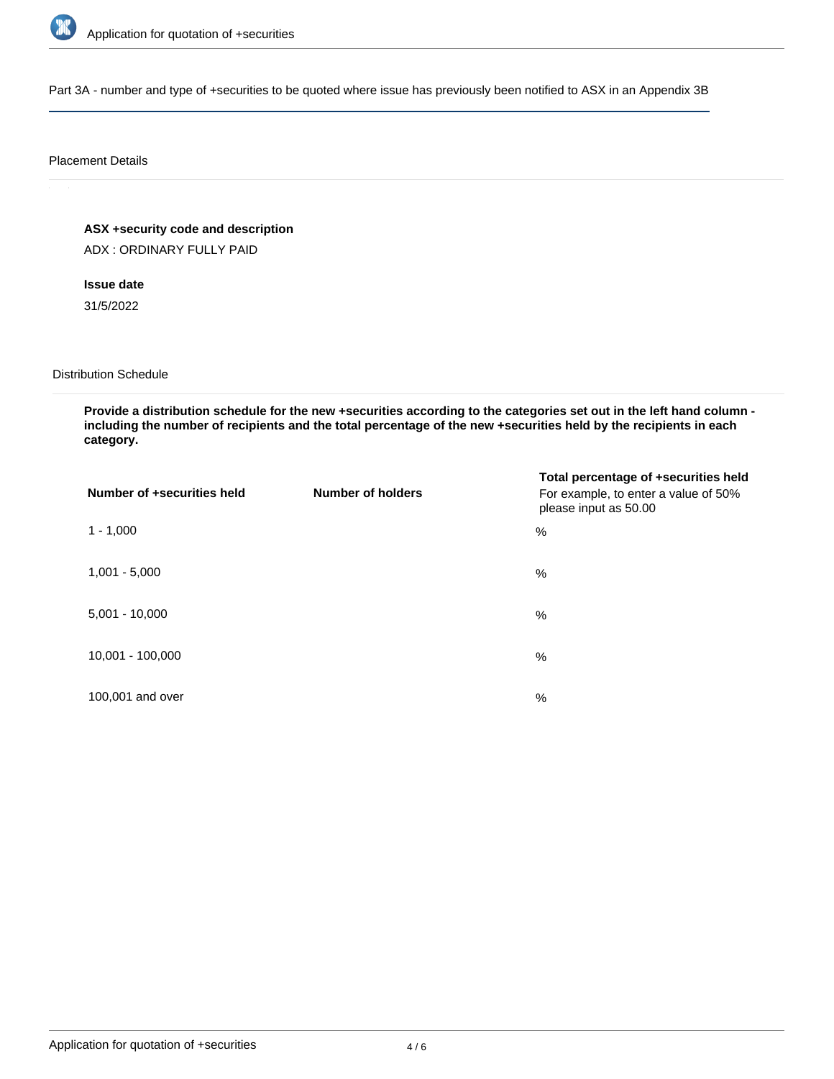

Part 3A - number and type of +securities to be quoted where issue has previously been notified to ASX in an Appendix 3B

### Placement Details

**ASX +security code and description**

ADX : ORDINARY FULLY PAID

**Issue date**

31/5/2022

Distribution Schedule

**Provide a distribution schedule for the new +securities according to the categories set out in the left hand column including the number of recipients and the total percentage of the new +securities held by the recipients in each category.**

| Number of +securities held | <b>Number of holders</b> | Total percentage of +securities held<br>For example, to enter a value of 50%<br>please input as 50.00 |
|----------------------------|--------------------------|-------------------------------------------------------------------------------------------------------|
| $1 - 1,000$                |                          | $\%$                                                                                                  |
| $1,001 - 5,000$            |                          | $\%$                                                                                                  |
| $5,001 - 10,000$           |                          | %                                                                                                     |
| 10,001 - 100,000           |                          | %                                                                                                     |
| 100,001 and over           |                          | $\%$                                                                                                  |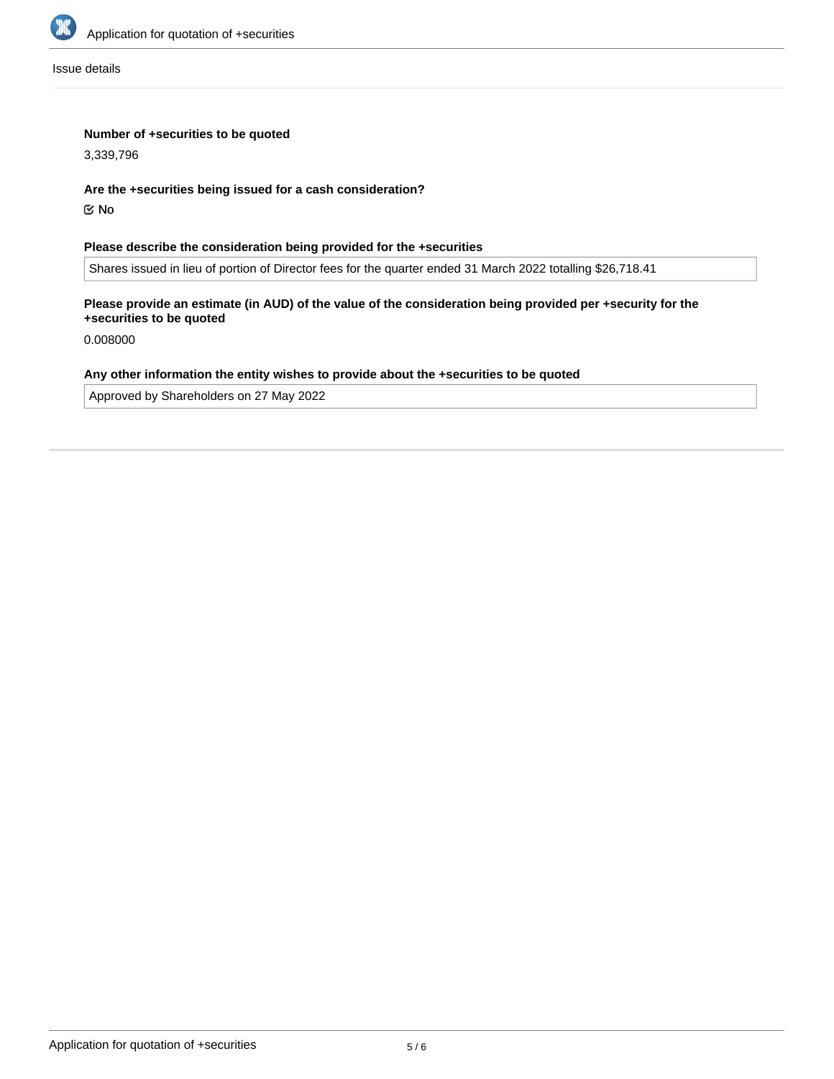

Issue details

# **Number of +securities to be quoted**

3,339,796

### **Are the +securities being issued for a cash consideration?**

No

# **Please describe the consideration being provided for the +securities**

Shares issued in lieu of portion of Director fees for the quarter ended 31 March 2022 totalling \$26,718.41

# **Please provide an estimate (in AUD) of the value of the consideration being provided per +security for the +securities to be quoted**

0.008000

# **Any other information the entity wishes to provide about the +securities to be quoted**

Approved by Shareholders on 27 May 2022